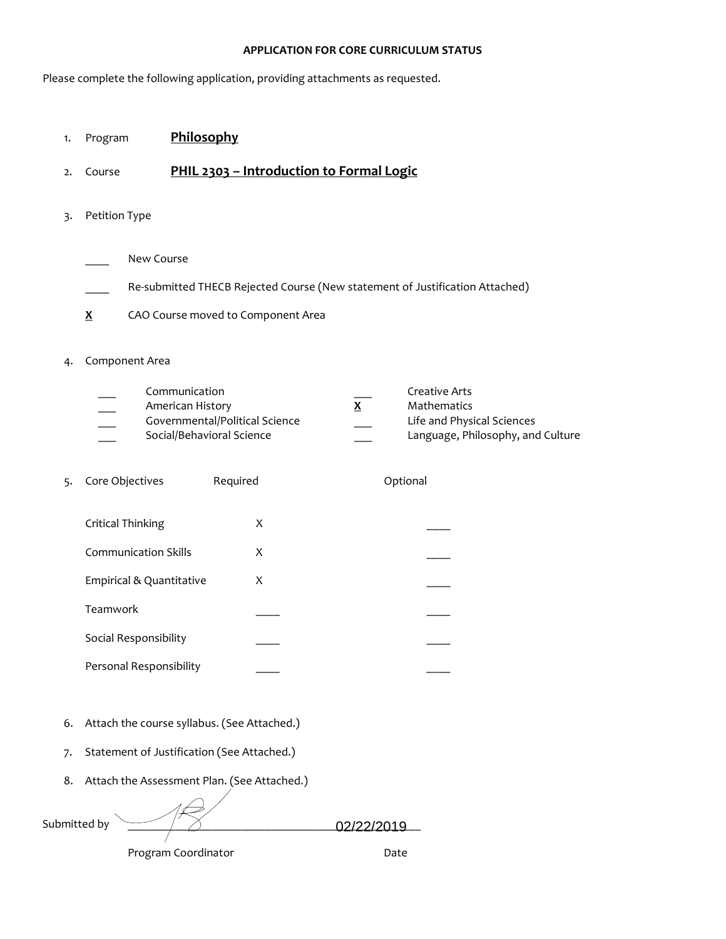#### **APPLICATION FOR CORE CURRICULUM STATUS**

Please complete the following application, providing attachments as requested.

| 1. | Philosophy<br>Program                                                                            |          |              |                                                                                                 |
|----|--------------------------------------------------------------------------------------------------|----------|--------------|-------------------------------------------------------------------------------------------------|
| 2. | PHIL 2303 - Introduction to Formal Logic<br>Course                                               |          |              |                                                                                                 |
| 3. | Petition Type                                                                                    |          |              |                                                                                                 |
|    | New Course<br>Re-submitted THECB Rejected Course (New statement of Justification Attached)       |          |              |                                                                                                 |
|    | CAO Course moved to Component Area<br>X                                                          |          |              |                                                                                                 |
| 4. | Component Area                                                                                   |          |              |                                                                                                 |
|    | Communication<br>American History<br>Governmental/Political Science<br>Social/Behavioral Science |          | $\mathbf{x}$ | Creative Arts<br>Mathematics<br>Life and Physical Sciences<br>Language, Philosophy, and Culture |
| 5. | Core Objectives                                                                                  | Required |              | Optional                                                                                        |
|    | Critical Thinking                                                                                | X        |              |                                                                                                 |
|    | <b>Communication Skills</b>                                                                      | X        |              |                                                                                                 |
|    | Empirical & Quantitative                                                                         | X        |              |                                                                                                 |
|    | Teamwork                                                                                         |          |              |                                                                                                 |
|    | Social Responsibility                                                                            |          |              |                                                                                                 |
|    | Personal Responsibility                                                                          |          |              |                                                                                                 |
| 6. | Attach the course syllabus. (See Attached.)                                                      |          |              |                                                                                                 |
| 7. | Statement of Justification (See Attached.)                                                       |          |              |                                                                                                 |
| 8. | Attach the Assessment Plan. (See Attached.)                                                      |          |              |                                                                                                 |

Submitted by  $\begin{array}{cc} \begin{array}{ccc} \diagup \end{array} & \diagup \end{array}$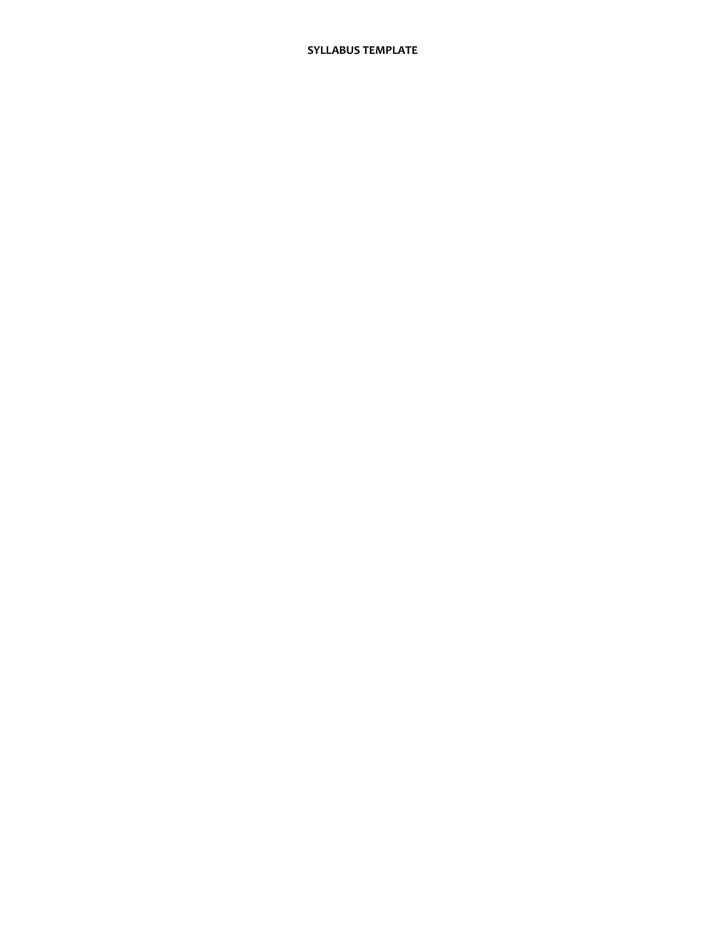#### **SYLLABUS TEMPLATE**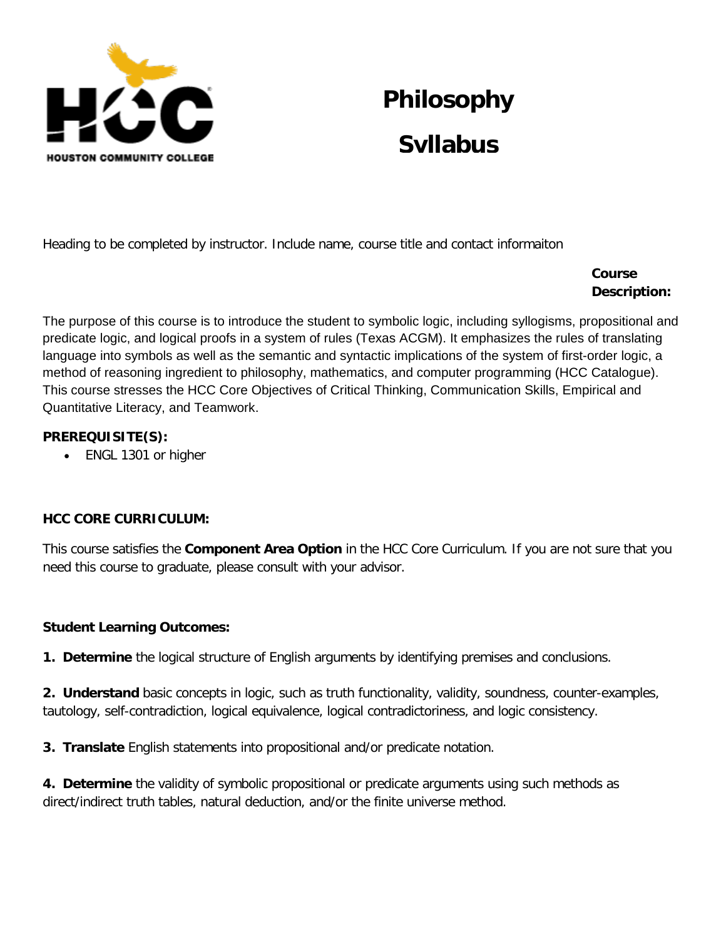

# **Philosophy Syllabus**

Heading to be completed by instructor. Include name, course title and contact informaiton

**Course Description:**

The purpose of this course is to introduce the student to symbolic logic, including syllogisms, propositional and predicate logic, and logical proofs in a system of rules (Texas ACGM). It emphasizes the rules of translating language into symbols as well as the semantic and syntactic implications of the system of first-order logic, a method of reasoning ingredient to philosophy, mathematics, and computer programming (HCC Catalogue). This course stresses the HCC Core Objectives of Critical Thinking, Communication Skills, Empirical and Quantitative Literacy, and Teamwork.

# **PREREQUISITE(S):**

• ENGL 1301 or higher

# **HCC CORE CURRICULUM:**

This course satisfies the **Component Area Option** in the HCC Core Curriculum. If you are not sure that you need this course to graduate, please consult with your advisor.

# **Student Learning Outcomes:**

**1. Determine** the logical structure of English arguments by identifying premises and conclusions.

**2. Understand** basic concepts in logic, such as truth functionality, validity, soundness, counter-examples, tautology, self-contradiction, logical equivalence, logical contradictoriness, and logic consistency.

**3. Translate** English statements into propositional and/or predicate notation.

**4. Determine** the validity of symbolic propositional or predicate arguments using such methods as direct/indirect truth tables, natural deduction, and/or the finite universe method.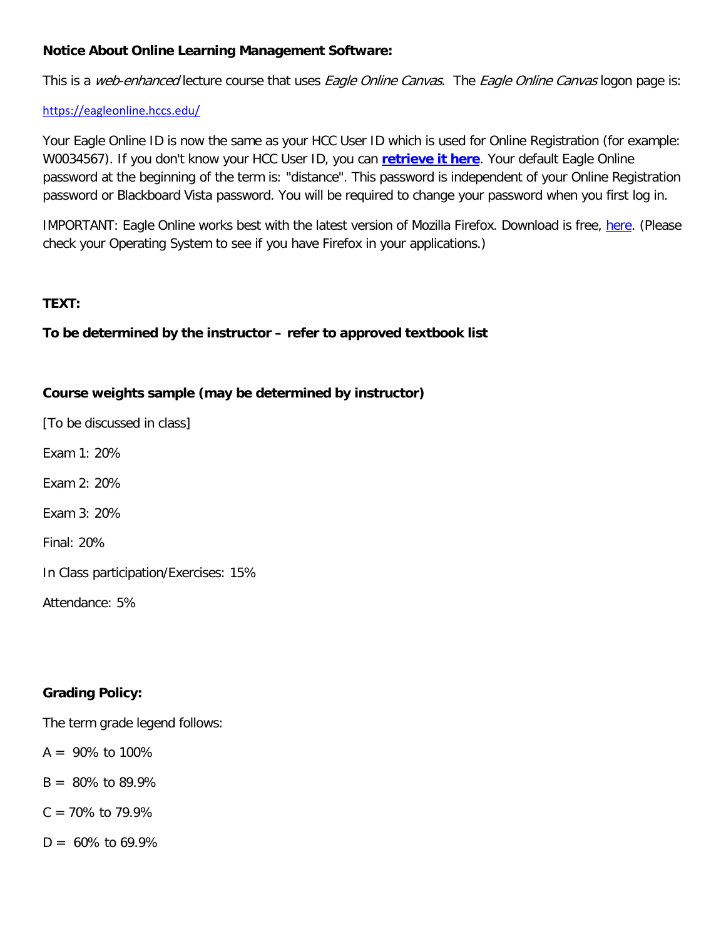## **Notice About Online Learning Management Software:**

This is a web-enhanced lecture course that uses *Eagle Online Canvas*. The *Eagle Online Canvas* logon page is:

#### https://eagleonline.hccs.edu/

Your Eagle Online ID is now the same as your HCC User ID which is used for Online Registration (for example: W0034567). If you don't know your HCC User ID, you can **retrieve it here**. Your default Eagle Online password at the beginning of the term is: "distance". This password is independent of your Online Registration password or Blackboard Vista password. You will be required to change your password when you first log in.

IMPORTANT: Eagle Online works best with the latest version of Mozilla Firefox. Download is free, here. (Please check your Operating System to see if you have Firefox in your applications.)

#### **TEXT:**

## **To be determined by the instructor – refer to approved textbook list**

## **Course weights sample (may be determined by instructor)**

[To be discussed in class]

Exam 1: 20%

Exam 2: 20%

Exam 3: 20%

Final: 20%

In Class participation/Exercises: 15%

Attendance: 5%

## **Grading Policy:**

The term grade legend follows:

- $A = 90\%$  to 100%
- $B = 80\%$  to 89.9%
- $C = 70\%$  to 79.9%
- $D = 60\%$  to 69.9%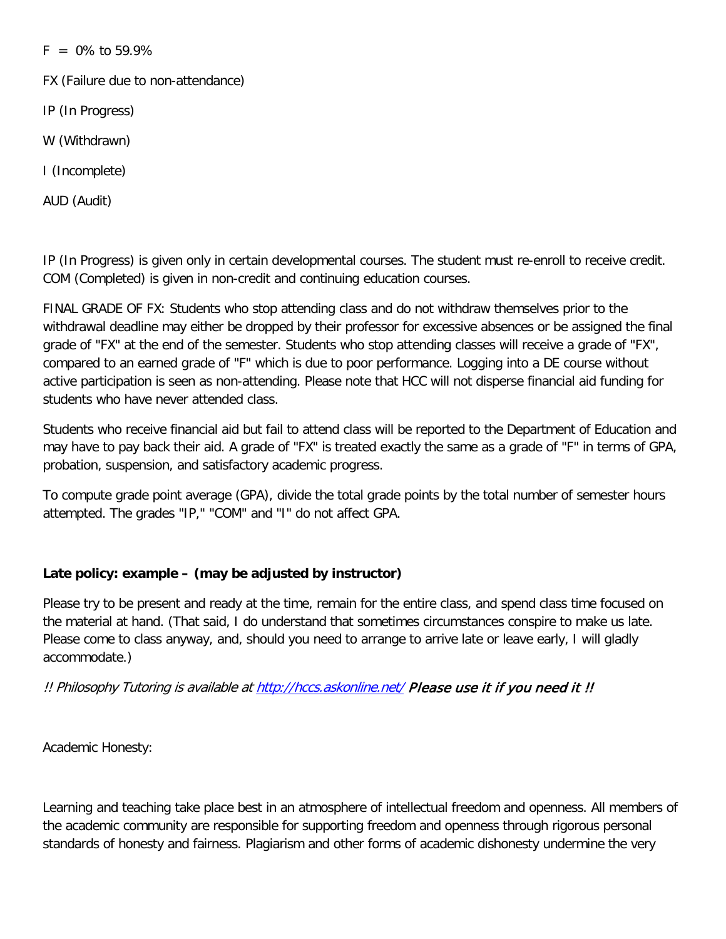$F = 0\%$  to 59.9%

FX (Failure due to non-attendance)

- IP (In Progress)
- W (Withdrawn)
- I (Incomplete)

AUD (Audit)

IP (In Progress) is given only in certain developmental courses. The student must re-enroll to receive credit. COM (Completed) is given in non-credit and continuing education courses.

FINAL GRADE OF FX: Students who stop attending class and do not withdraw themselves prior to the withdrawal deadline may either be dropped by their professor for excessive absences or be assigned the final grade of "FX" at the end of the semester. Students who stop attending classes will receive a grade of "FX", compared to an earned grade of "F" which is due to poor performance. Logging into a DE course without active participation is seen as non-attending. Please note that HCC will not disperse financial aid funding for students who have never attended class.

Students who receive financial aid but fail to attend class will be reported to the Department of Education and may have to pay back their aid. A grade of "FX" is treated exactly the same as a grade of "F" in terms of GPA, probation, suspension, and satisfactory academic progress.

To compute grade point average (GPA), divide the total grade points by the total number of semester hours attempted. The grades "IP," "COM" and "I" do not affect GPA.

# **Late policy: example – (may be adjusted by instructor)**

Please try to be present and ready at the time, remain for the entire class, and spend class time focused on the material at hand. (That said, I do understand that sometimes circumstances conspire to make us late. Please come to class anyway, and, should you need to arrange to arrive late or leave early, I will gladly accommodate.)

# !! Philosophy Tutoring is available at http://hccs.askonline.net/ Please use it if you need it !!

Academic Honesty:

Learning and teaching take place best in an atmosphere of intellectual freedom and openness. All members of the academic community are responsible for supporting freedom and openness through rigorous personal standards of honesty and fairness. Plagiarism and other forms of academic dishonesty undermine the very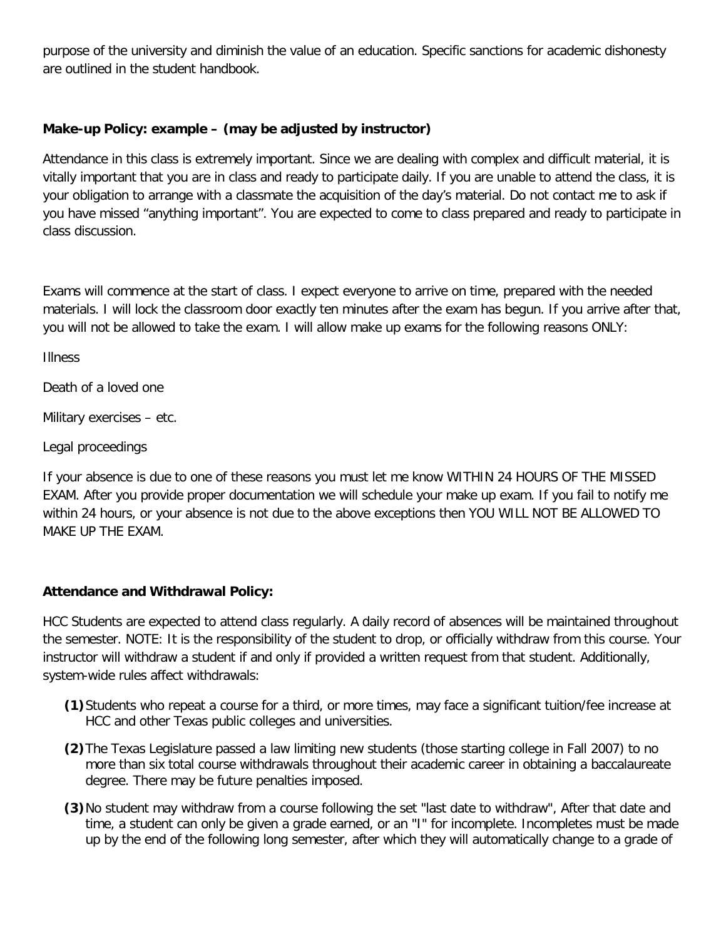purpose of the university and diminish the value of an education. Specific sanctions for academic dishonesty are outlined in the student handbook.

## **Make-up Policy: example – (may be adjusted by instructor)**

Attendance in this class is extremely important. Since we are dealing with complex and difficult material, it is vitally important that you are in class and ready to participate daily. If you are unable to attend the class, it is your obligation to arrange with a classmate the acquisition of the day's material. Do not contact me to ask if you have missed "anything important". You are expected to come to class prepared and ready to participate in class discussion.

Exams will commence at the start of class. I expect everyone to arrive on time, prepared with the needed materials. I will lock the classroom door exactly ten minutes after the exam has begun. If you arrive after that, you will not be allowed to take the exam. I will allow make up exams for the following reasons ONLY:

**Illness** 

Death of a loved one

Military exercises – etc.

Legal proceedings

If your absence is due to one of these reasons you must let me know WITHIN 24 HOURS OF THE MISSED EXAM. After you provide proper documentation we will schedule your make up exam. If you fail to notify me within 24 hours, or your absence is not due to the above exceptions then YOU WILL NOT BE ALLOWED TO MAKE UP THE EXAM.

## **Attendance and Withdrawal Policy:**

HCC Students are expected to attend class regularly. A daily record of absences will be maintained throughout the semester. NOTE: It is the responsibility of the student to drop, or officially withdraw from this course. Your instructor will withdraw a student if and only if provided a written request from that student. Additionally, system-wide rules affect withdrawals:

- **(1)**Students who repeat a course for a third, or more times, may face a significant tuition/fee increase at HCC and other Texas public colleges and universities.
- **(2)**The Texas Legislature passed a law limiting new students (those starting college in Fall 2007) to no more than six total course withdrawals throughout their academic career in obtaining a baccalaureate degree. There may be future penalties imposed.
- **(3)**No student may withdraw from a course following the set "last date to withdraw", After that date and time, a student can only be given a grade earned, or an "I" for incomplete. Incompletes must be made up by the end of the following long semester, after which they will automatically change to a grade of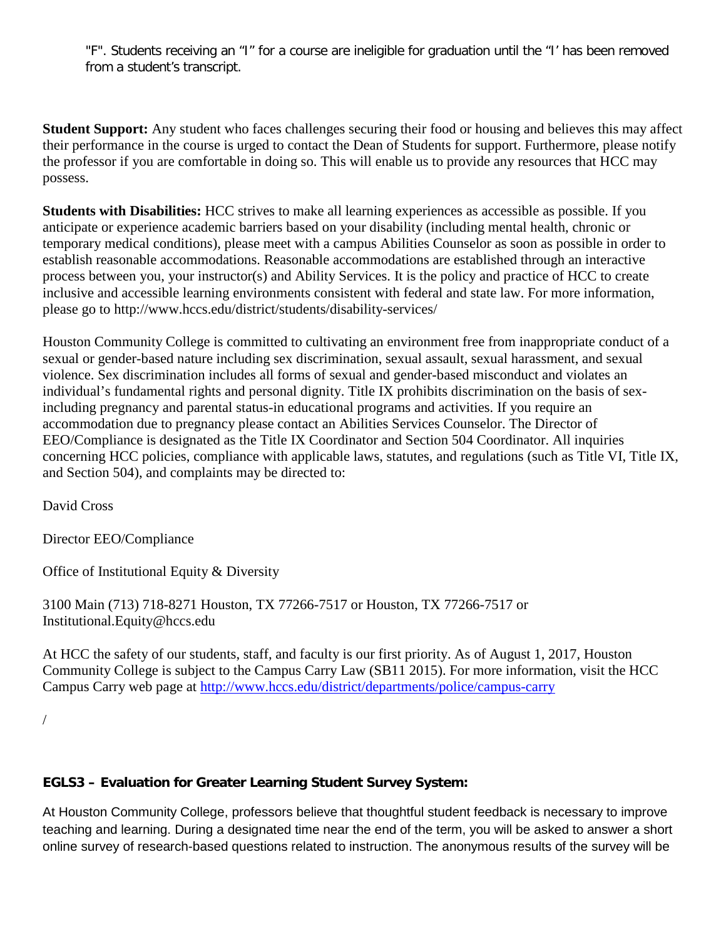"F". Students receiving an "I" for a course are ineligible for graduation until the "I' has been removed from a student's transcript.

**Student Support:** Any student who faces challenges securing their food or housing and believes this may affect their performance in the course is urged to contact the Dean of Students for support. Furthermore, please notify the professor if you are comfortable in doing so. This will enable us to provide any resources that HCC may possess.

**Students with Disabilities:** HCC strives to make all learning experiences as accessible as possible. If you anticipate or experience academic barriers based on your disability (including mental health, chronic or temporary medical conditions), please meet with a campus Abilities Counselor as soon as possible in order to establish reasonable accommodations. Reasonable accommodations are established through an interactive process between you, your instructor(s) and Ability Services. It is the policy and practice of HCC to create inclusive and accessible learning environments consistent with federal and state law. For more information, please go to http://www.hccs.edu/district/students/disability-services/

Houston Community College is committed to cultivating an environment free from inappropriate conduct of a sexual or gender-based nature including sex discrimination, sexual assault, sexual harassment, and sexual violence. Sex discrimination includes all forms of sexual and gender-based misconduct and violates an individual's fundamental rights and personal dignity. Title IX prohibits discrimination on the basis of sexincluding pregnancy and parental status-in educational programs and activities. If you require an accommodation due to pregnancy please contact an Abilities Services Counselor. The Director of EEO/Compliance is designated as the Title IX Coordinator and Section 504 Coordinator. All inquiries concerning HCC policies, compliance with applicable laws, statutes, and regulations (such as Title VI, Title IX, and Section 504), and complaints may be directed to:

David Cross

Director EEO/Compliance

Office of Institutional Equity & Diversity

3100 Main (713) 718-8271 Houston, TX 77266-7517 or Houston, TX 77266-7517 or Institutional.Equity@hccs.edu

At HCC the safety of our students, staff, and faculty is our first priority. As of August 1, 2017, Houston Community College is subject to the Campus Carry Law (SB11 2015). For more information, visit the HCC Campus Carry web page at http://www.hccs.edu/district/departments/police/campus-carry

/

# **EGLS3 – Evaluation for Greater Learning Student Survey System:**

At Houston Community College, professors believe that thoughtful student feedback is necessary to improve teaching and learning. During a designated time near the end of the term, you will be asked to answer a short online survey of research-based questions related to instruction. The anonymous results of the survey will be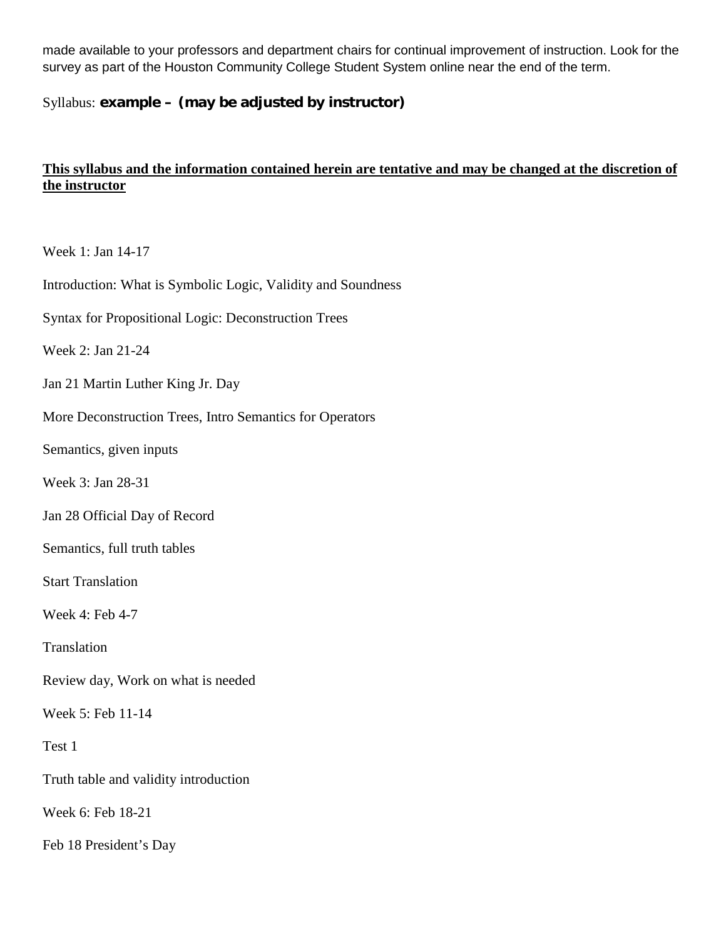made available to your professors and department chairs for continual improvement of instruction. Look for the survey as part of the Houston Community College Student System online near the end of the term.

# Syllabus: **example – (may be adjusted by instructor)**

# **This syllabus and the information contained herein are tentative and may be changed at the discretion of the instructor**

Week 1: Jan 14-17

Introduction: What is Symbolic Logic, Validity and Soundness

Syntax for Propositional Logic: Deconstruction Trees

Week 2: Jan 21-24

Jan 21 Martin Luther King Jr. Day

More Deconstruction Trees, Intro Semantics for Operators

Semantics, given inputs

Week 3: Jan 28-31

Jan 28 Official Day of Record

Semantics, full truth tables

Start Translation

Week 4: Feb 4-7

**Translation** 

Review day, Work on what is needed

Week 5: Feb 11-14

Test 1

Truth table and validity introduction

Week 6: Feb 18-21

Feb 18 President's Day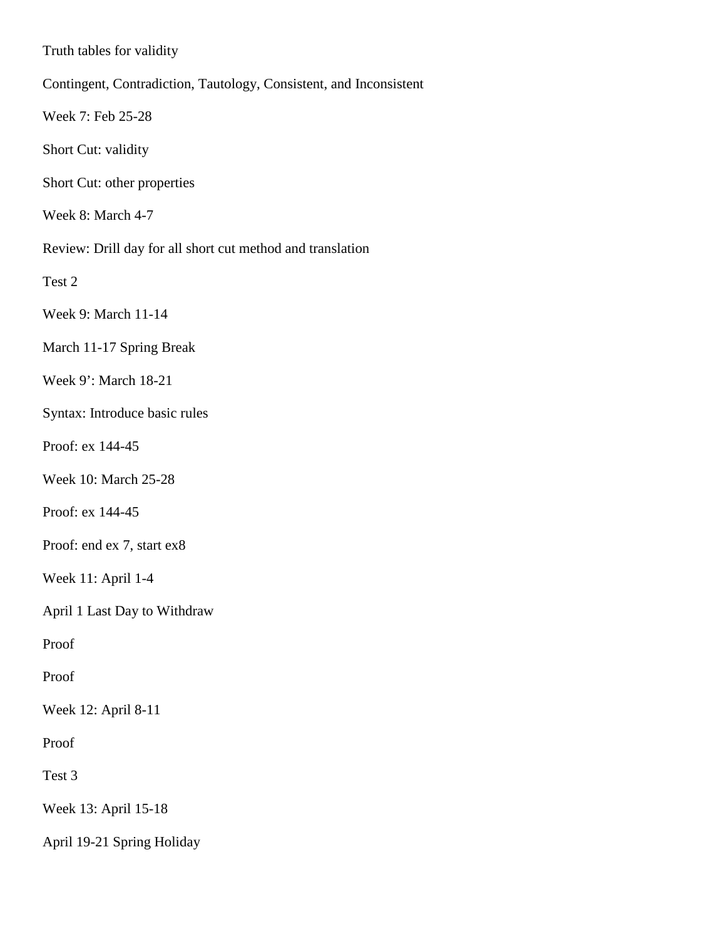Truth tables for validity

Contingent, Contradiction, Tautology, Consistent, and Inconsistent

Week 7: Feb 25-28

Short Cut: validity

Short Cut: other properties

Week 8: March 4-7

Review: Drill day for all short cut method and translation

Test 2

Week 9: March 11-14

March 11-17 Spring Break

Week 9': March 18-21

Syntax: Introduce basic rules

Proof: ex 144-45

Week 10: March 25-28

Proof: ex 144-45

Proof: end ex 7, start ex8

Week 11: April 1-4

April 1 Last Day to Withdraw

Proof

Proof

Week 12: April 8-11

Proof

Test 3

Week 13: April 15-18

April 19-21 Spring Holiday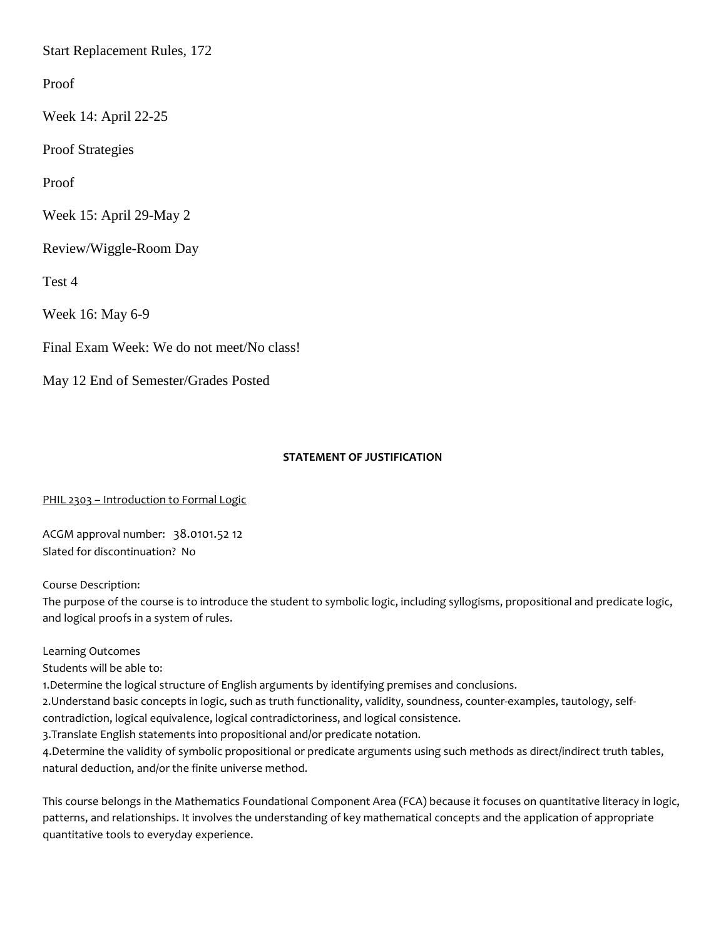Start Replacement Rules, 172

Proof

Week 14: April 22-25

Proof Strategies

Proof

Week 15: April 29-May 2

Review/Wiggle-Room Day

Test 4

Week 16: May 6-9

Final Exam Week: We do not meet/No class!

May 12 End of Semester/Grades Posted

#### **STATEMENT OF JUSTIFICATION**

PHIL 2303 – Introduction to Formal Logic

ACGM approval number: 38.0101.52 12 Slated for discontinuation? No

Course Description:

The purpose of the course is to introduce the student to symbolic logic, including syllogisms, propositional and predicate logic, and logical proofs in a system of rules.

Learning Outcomes

Students will be able to:

1.Determine the logical structure of English arguments by identifying premises and conclusions.

2.Understand basic concepts in logic, such as truth functionality, validity, soundness, counter-examples, tautology, self-

contradiction, logical equivalence, logical contradictoriness, and logical consistence.

3.Translate English statements into propositional and/or predicate notation.

4.Determine the validity of symbolic propositional or predicate arguments using such methods as direct/indirect truth tables, natural deduction, and/or the finite universe method.

This course belongs in the Mathematics Foundational Component Area (FCA) because it focuses on quantitative literacy in logic, patterns, and relationships. It involves the understanding of key mathematical concepts and the application of appropriate quantitative tools to everyday experience.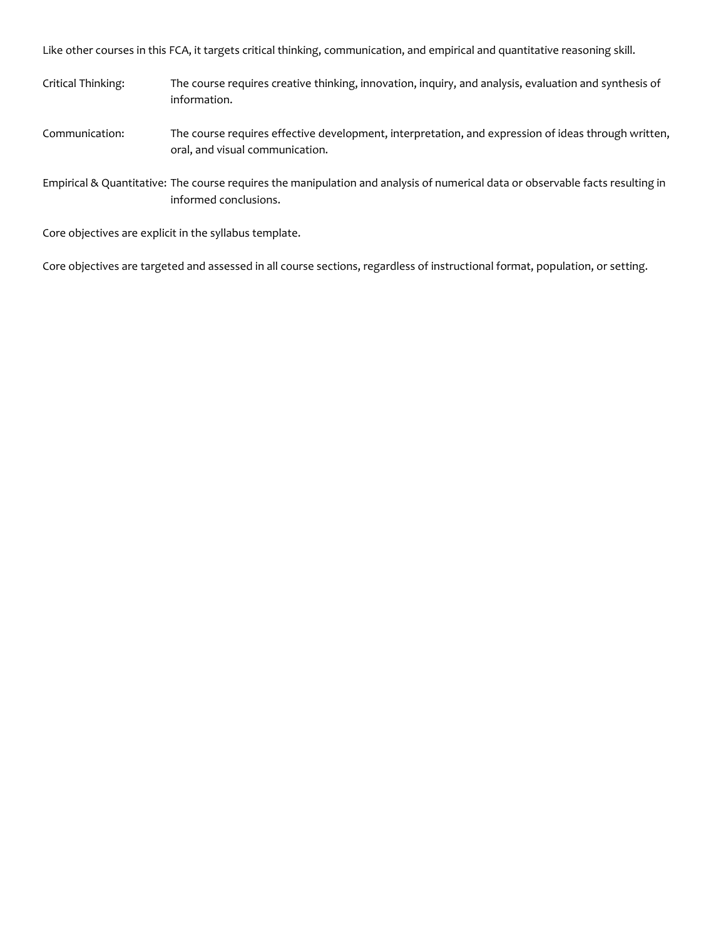Like other courses in this FCA, it targets critical thinking, communication, and empirical and quantitative reasoning skill.

- Critical Thinking: The course requires creative thinking, innovation, inquiry, and analysis, evaluation and synthesis of information.
- Communication: The course requires effective development, interpretation, and expression of ideas through written, oral, and visual communication.
- Empirical & Quantitative: The course requires the manipulation and analysis of numerical data or observable facts resulting in informed conclusions.

Core objectives are explicit in the syllabus template.

Core objectives are targeted and assessed in all course sections, regardless of instructional format, population, or setting.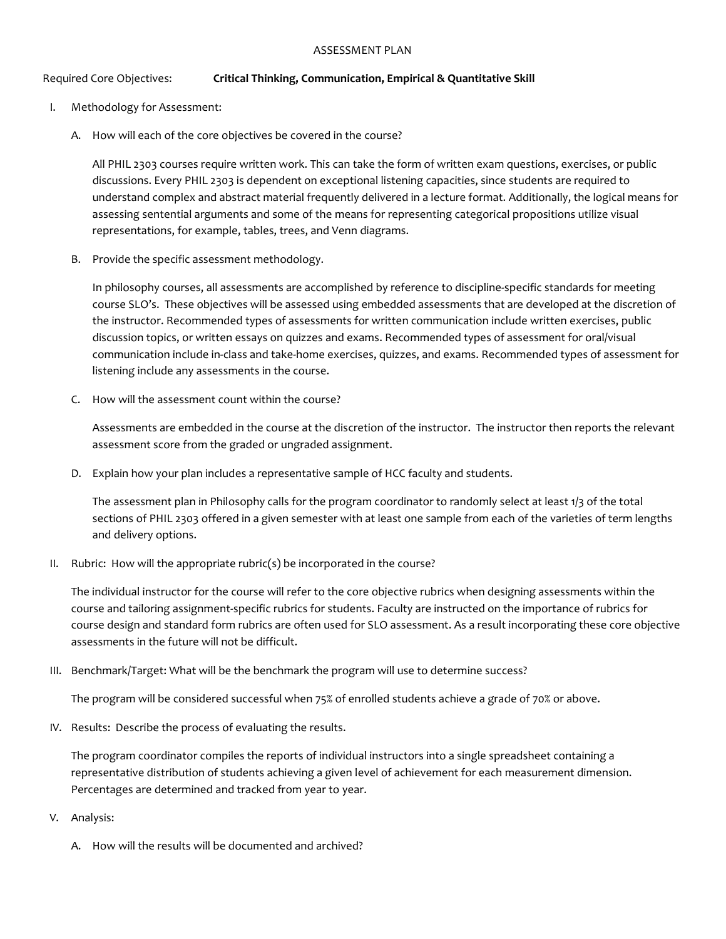#### ASSESSMENT PLAN

#### Required Core Objectives: **Critical Thinking, Communication, Empirical & Quantitative Skill**

- I. Methodology for Assessment:
	- A. How will each of the core objectives be covered in the course?

All PHIL 2303 courses require written work. This can take the form of written exam questions, exercises, or public discussions. Every PHIL 2303 is dependent on exceptional listening capacities, since students are required to understand complex and abstract material frequently delivered in a lecture format. Additionally, the logical means for assessing sentential arguments and some of the means for representing categorical propositions utilize visual representations, for example, tables, trees, and Venn diagrams.

B. Provide the specific assessment methodology.

In philosophy courses, all assessments are accomplished by reference to discipline-specific standards for meeting course SLO's. These objectives will be assessed using embedded assessments that are developed at the discretion of the instructor. Recommended types of assessments for written communication include written exercises, public discussion topics, or written essays on quizzes and exams. Recommended types of assessment for oral/visual communication include in-class and take-home exercises, quizzes, and exams. Recommended types of assessment for listening include any assessments in the course.

C. How will the assessment count within the course?

Assessments are embedded in the course at the discretion of the instructor. The instructor then reports the relevant assessment score from the graded or ungraded assignment.

D. Explain how your plan includes a representative sample of HCC faculty and students.

The assessment plan in Philosophy calls for the program coordinator to randomly select at least 1/3 of the total sections of PHIL 2303 offered in a given semester with at least one sample from each of the varieties of term lengths and delivery options.

II. Rubric: How will the appropriate rubric( $s$ ) be incorporated in the course?

The individual instructor for the course will refer to the core objective rubrics when designing assessments within the course and tailoring assignment-specific rubrics for students. Faculty are instructed on the importance of rubrics for course design and standard form rubrics are often used for SLO assessment. As a result incorporating these core objective assessments in the future will not be difficult.

III. Benchmark/Target: What will be the benchmark the program will use to determine success?

The program will be considered successful when 75% of enrolled students achieve a grade of 70% or above.

IV. Results: Describe the process of evaluating the results.

The program coordinator compiles the reports of individual instructors into a single spreadsheet containing a representative distribution of students achieving a given level of achievement for each measurement dimension. Percentages are determined and tracked from year to year.

- V. Analysis:
	- A. How will the results will be documented and archived?